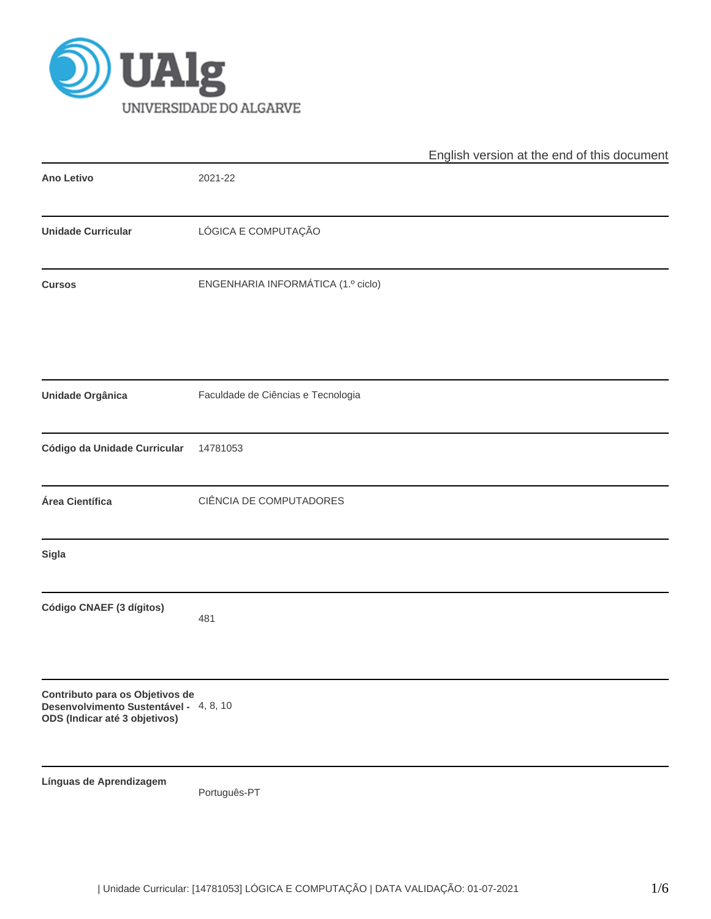

|                                                                                                            |                                    | English version at the end of this document |
|------------------------------------------------------------------------------------------------------------|------------------------------------|---------------------------------------------|
| <b>Ano Letivo</b>                                                                                          | 2021-22                            |                                             |
| <b>Unidade Curricular</b>                                                                                  | LÓGICA E COMPUTAÇÃO                |                                             |
| <b>Cursos</b>                                                                                              | ENGENHARIA INFORMÁTICA (1.º ciclo) |                                             |
| Unidade Orgânica                                                                                           | Faculdade de Ciências e Tecnologia |                                             |
| Código da Unidade Curricular                                                                               | 14781053                           |                                             |
| Área Científica                                                                                            | CIÊNCIA DE COMPUTADORES            |                                             |
| Sigla                                                                                                      |                                    |                                             |
| Código CNAEF (3 dígitos)                                                                                   | 481                                |                                             |
| Contributo para os Objetivos de<br>Desenvolvimento Sustentável - 4, 8, 10<br>ODS (Indicar até 3 objetivos) |                                    |                                             |
| Línguas de Aprendizagem                                                                                    | Português-PT                       |                                             |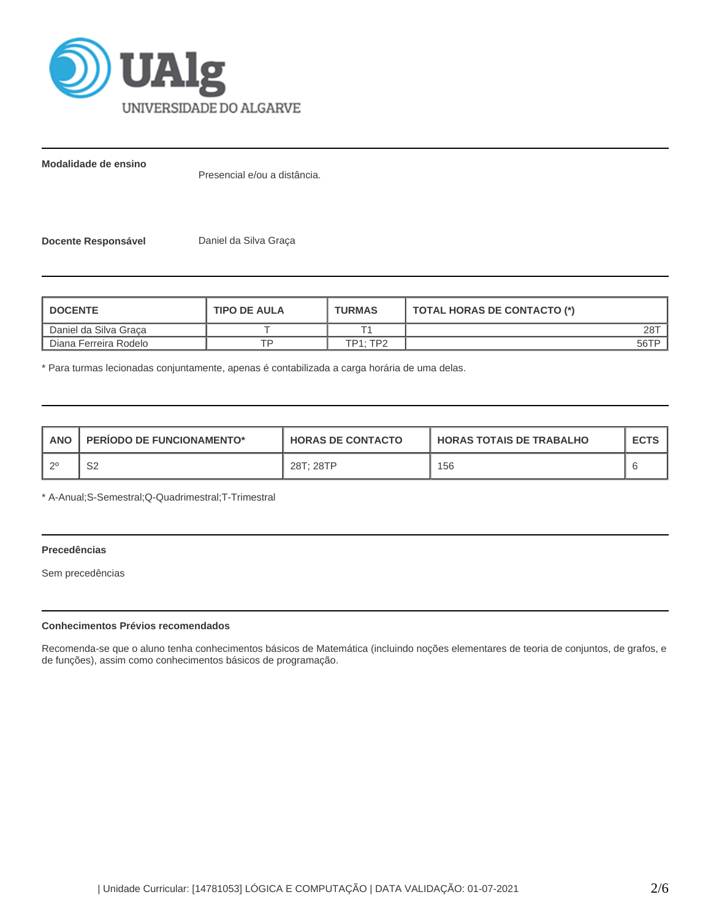

**Modalidade de ensino**

Presencial e/ou a distância.

**Docente Responsável** Daniel da Silva Graça

| <b>I DOCENTE</b>        | <b>TIPO DE AULA</b> | <b>TURMAS</b> | TOTAL HORAS DE CONTACTO (*) |
|-------------------------|---------------------|---------------|-----------------------------|
| Daniel da Silva Graca   |                     |               | $28^{-}$                    |
| I Diana Ferreira Rodelo |                     | TP1:TP2       | 56TP                        |

\* Para turmas lecionadas conjuntamente, apenas é contabilizada a carga horária de uma delas.

| <b>ANO</b> | <b>PERIODO DE FUNCIONAMENTO*</b> | <b>HORAS DE CONTACTO</b> | <b>HORAS TOTAIS DE TRABALHO</b> | <b>ECTS</b> |
|------------|----------------------------------|--------------------------|---------------------------------|-------------|
| _റ0        | ິ<br>ےت                          | 28T; 28TP                | 156                             |             |

\* A-Anual;S-Semestral;Q-Quadrimestral;T-Trimestral

# **Precedências**

Sem precedências

## **Conhecimentos Prévios recomendados**

Recomenda-se que o aluno tenha conhecimentos básicos de Matemática (incluindo noções elementares de teoria de conjuntos, de grafos, e de funções), assim como conhecimentos básicos de programação.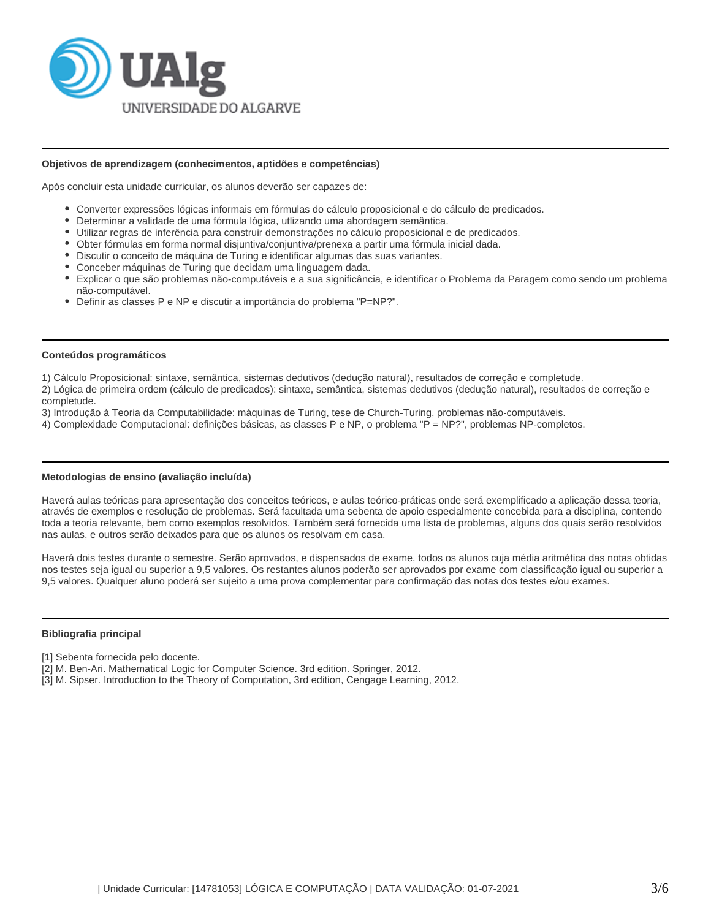

### **Objetivos de aprendizagem (conhecimentos, aptidões e competências)**

Após concluir esta unidade curricular, os alunos deverão ser capazes de:

- Converter expressões lógicas informais em fórmulas do cálculo proposicional e do cálculo de predicados.
- Determinar a validade de uma fórmula lógica, utlizando uma abordagem semântica.
- Utilizar regras de inferência para construir demonstrações no cálculo proposicional e de predicados.
- Obter fórmulas em forma normal disjuntiva/conjuntiva/prenexa a partir uma fórmula inicial dada.
- Discutir o conceito de máquina de Turing e identificar algumas das suas variantes.
- Conceber máquinas de Turing que decidam uma linguagem dada.
- Explicar o que são problemas não-computáveis e a sua significância, e identificar o Problema da Paragem como sendo um problema não-computável.
- Definir as classes P e NP e discutir a importância do problema "P=NP?".

#### **Conteúdos programáticos**

1) Cálculo Proposicional: sintaxe, semântica, sistemas dedutivos (dedução natural), resultados de correção e completude.

2) Lógica de primeira ordem (cálculo de predicados): sintaxe, semântica, sistemas dedutivos (dedução natural), resultados de correção e completude.

3) Introdução à Teoria da Computabilidade: máquinas de Turing, tese de Church-Turing, problemas não-computáveis.

4) Complexidade Computacional: definições básicas, as classes P e NP, o problema "P = NP?", problemas NP-completos.

#### **Metodologias de ensino (avaliação incluída)**

Haverá aulas teóricas para apresentação dos conceitos teóricos, e aulas teórico-práticas onde será exemplificado a aplicação dessa teoria, através de exemplos e resolução de problemas. Será facultada uma sebenta de apoio especialmente concebida para a disciplina, contendo toda a teoria relevante, bem como exemplos resolvidos. Também será fornecida uma lista de problemas, alguns dos quais serão resolvidos nas aulas, e outros serão deixados para que os alunos os resolvam em casa.

Haverá dois testes durante o semestre. Serão aprovados, e dispensados de exame, todos os alunos cuja média aritmética das notas obtidas nos testes seja igual ou superior a 9,5 valores. Os restantes alunos poderão ser aprovados por exame com classificação igual ou superior a 9,5 valores. Qualquer aluno poderá ser sujeito a uma prova complementar para confirmação das notas dos testes e/ou exames.

### **Bibliografia principal**

- [1] Sebenta fornecida pelo docente.
- [2] M. Ben-Ari. Mathematical Logic for Computer Science. 3rd edition. Springer, 2012.
- [3] M. Sipser. Introduction to the Theory of Computation, 3rd edition, Cengage Learning, 2012.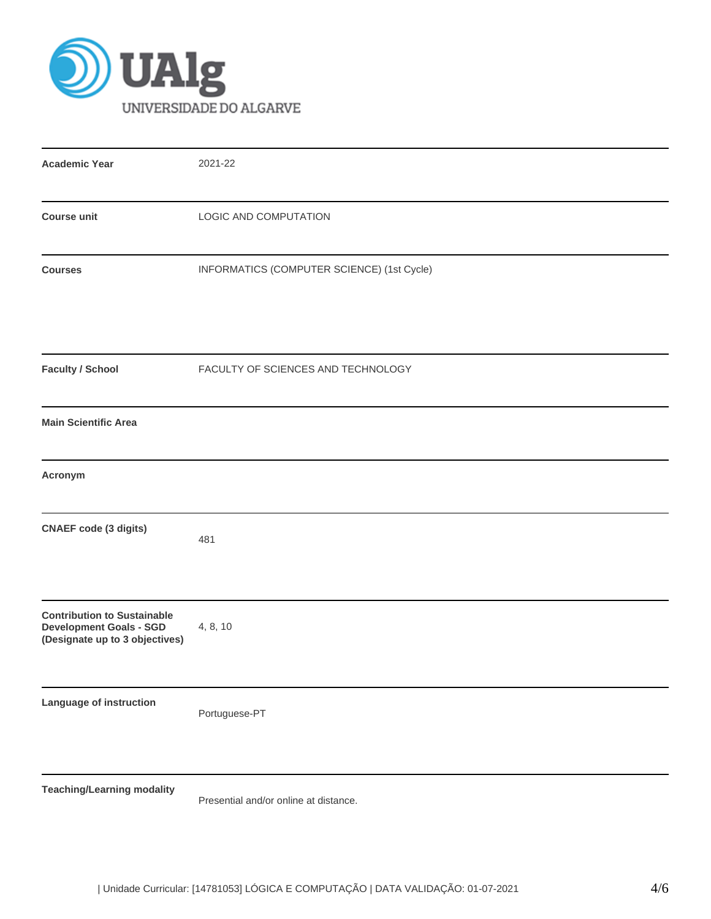

| <b>Academic Year</b>                                                                                   | 2021-22                                    |
|--------------------------------------------------------------------------------------------------------|--------------------------------------------|
| <b>Course unit</b>                                                                                     | LOGIC AND COMPUTATION                      |
| <b>Courses</b>                                                                                         | INFORMATICS (COMPUTER SCIENCE) (1st Cycle) |
| <b>Faculty / School</b>                                                                                | FACULTY OF SCIENCES AND TECHNOLOGY         |
| <b>Main Scientific Area</b>                                                                            |                                            |
| Acronym                                                                                                |                                            |
| <b>CNAEF</b> code (3 digits)                                                                           | 481                                        |
| <b>Contribution to Sustainable</b><br><b>Development Goals - SGD</b><br>(Designate up to 3 objectives) | 4, 8, 10                                   |
| Language of instruction                                                                                | Portuguese-PT                              |
| <b>Teaching/Learning modality</b>                                                                      |                                            |

Presential and/or online at distance.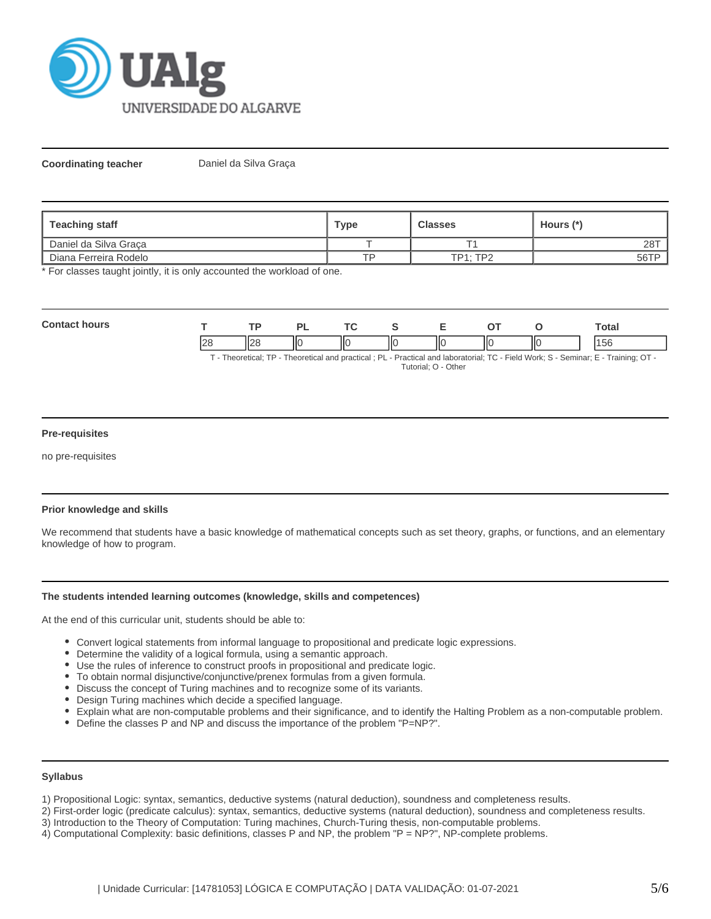

**Coordinating teacher** Daniel da Silva Graça

| Teaching staff                 | Type      | <b>Classes</b>  | Hours (*) |  |
|--------------------------------|-----------|-----------------|-----------|--|
| Daniel da Silva Graca          |           |                 | 287       |  |
| <b>I</b> Diana Ferreira Rodelo | <b>TD</b> | <b>TP1: TP2</b> | 56TP      |  |

\* For classes taught jointly, it is only accounted the workload of one.

| $C_{\alpha}$<br>.<br>wor |          | ים | <b>Trea</b> |    |             |    |     | ัotal |
|--------------------------|----------|----|-------------|----|-------------|----|-----|-------|
|                          | ⊶וו<br>┅ | ШC |             | ШΟ | $\parallel$ | ١К | IІC | 50    |

T - Theoretical; TP - Theoretical and practical ; PL - Practical and laboratorial; TC - Field Work; S - Seminar; E - Training; OT - Tutorial; O - Other

### **Pre-requisites**

no pre-requisites

# **Prior knowledge and skills**

We recommend that students have a basic knowledge of mathematical concepts such as set theory, graphs, or functions, and an elementary knowledge of how to program.

### **The students intended learning outcomes (knowledge, skills and competences)**

At the end of this curricular unit, students should be able to:

- Convert logical statements from informal language to propositional and predicate logic expressions.
- Determine the validity of a logical formula, using a semantic approach.
- Use the rules of inference to construct proofs in propositional and predicate logic.
- To obtain normal disjunctive/conjunctive/prenex formulas from a given formula.
- Discuss the concept of Turing machines and to recognize some of its variants.
- Design Turing machines which decide a specified language.
- Explain what are non-computable problems and their significance, and to identify the Halting Problem as a non-computable problem.
- Define the classes P and NP and discuss the importance of the problem "P=NP?".

#### **Syllabus**

1) Propositional Logic: syntax, semantics, deductive systems (natural deduction), soundness and completeness results.

- 2) First-order logic (predicate calculus): syntax, semantics, deductive systems (natural deduction), soundness and completeness results.
- 3) Introduction to the Theory of Computation: Turing machines, Church-Turing thesis, non-computable problems.
- 4) Computational Complexity: basic definitions, classes P and NP, the problem "P = NP?", NP-complete problems.